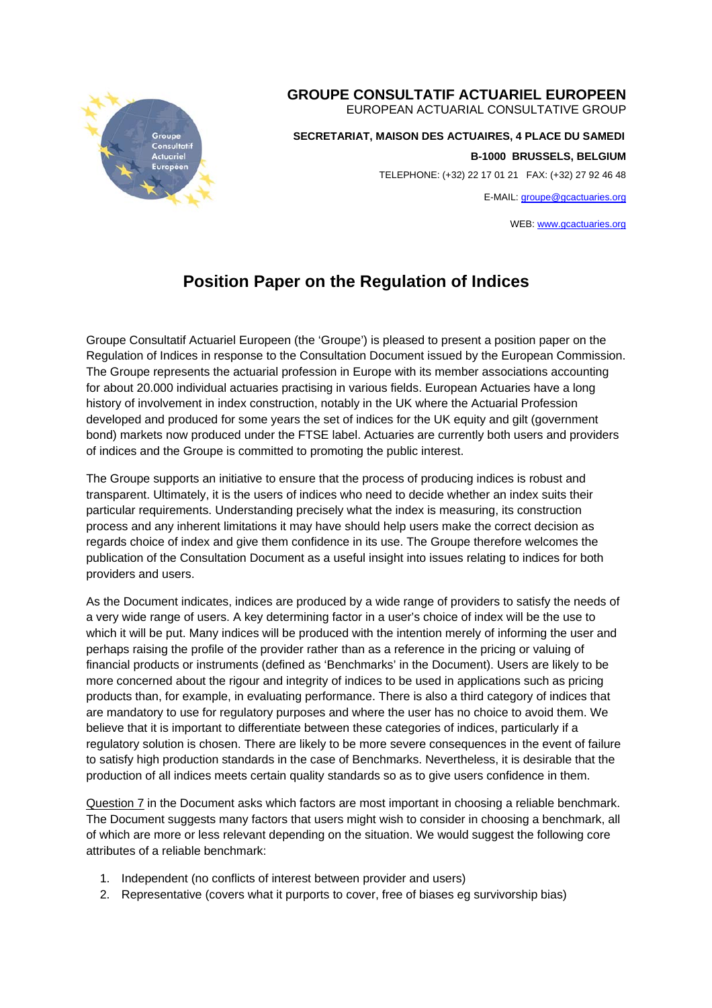

## **GROUPE CONSULTATIF ACTUARIEL EUROPEEN**

EUROPEAN ACTUARIAL CONSULTATIVE GROUP

 **SECRETARIAT, MAISON DES ACTUAIRES, 4 PLACE DU SAMEDI** 

**B-1000 BRUSSELS, BELGIUM** 

TELEPHONE: (+32) 22 17 01 21 FAX: (+32) 27 92 46 48

E-MAIL: groupe@gcactuaries.org

WEB: www.gcactuaries.org

## **Position Paper on the Regulation of Indices**

Groupe Consultatif Actuariel Europeen (the 'Groupe') is pleased to present a position paper on the Regulation of Indices in response to the Consultation Document issued by the European Commission. The Groupe represents the actuarial profession in Europe with its member associations accounting for about 20.000 individual actuaries practising in various fields. European Actuaries have a long history of involvement in index construction, notably in the UK where the Actuarial Profession developed and produced for some years the set of indices for the UK equity and gilt (government bond) markets now produced under the FTSE label. Actuaries are currently both users and providers of indices and the Groupe is committed to promoting the public interest.

The Groupe supports an initiative to ensure that the process of producing indices is robust and transparent. Ultimately, it is the users of indices who need to decide whether an index suits their particular requirements. Understanding precisely what the index is measuring, its construction process and any inherent limitations it may have should help users make the correct decision as regards choice of index and give them confidence in its use. The Groupe therefore welcomes the publication of the Consultation Document as a useful insight into issues relating to indices for both providers and users.

As the Document indicates, indices are produced by a wide range of providers to satisfy the needs of a very wide range of users. A key determining factor in a user's choice of index will be the use to which it will be put. Many indices will be produced with the intention merely of informing the user and perhaps raising the profile of the provider rather than as a reference in the pricing or valuing of financial products or instruments (defined as 'Benchmarks' in the Document). Users are likely to be more concerned about the rigour and integrity of indices to be used in applications such as pricing products than, for example, in evaluating performance. There is also a third category of indices that are mandatory to use for regulatory purposes and where the user has no choice to avoid them. We believe that it is important to differentiate between these categories of indices, particularly if a regulatory solution is chosen. There are likely to be more severe consequences in the event of failure to satisfy high production standards in the case of Benchmarks. Nevertheless, it is desirable that the production of all indices meets certain quality standards so as to give users confidence in them.

Question 7 in the Document asks which factors are most important in choosing a reliable benchmark. The Document suggests many factors that users might wish to consider in choosing a benchmark, all of which are more or less relevant depending on the situation. We would suggest the following core attributes of a reliable benchmark:

- 1. Independent (no conflicts of interest between provider and users)
- 2. Representative (covers what it purports to cover, free of biases eg survivorship bias)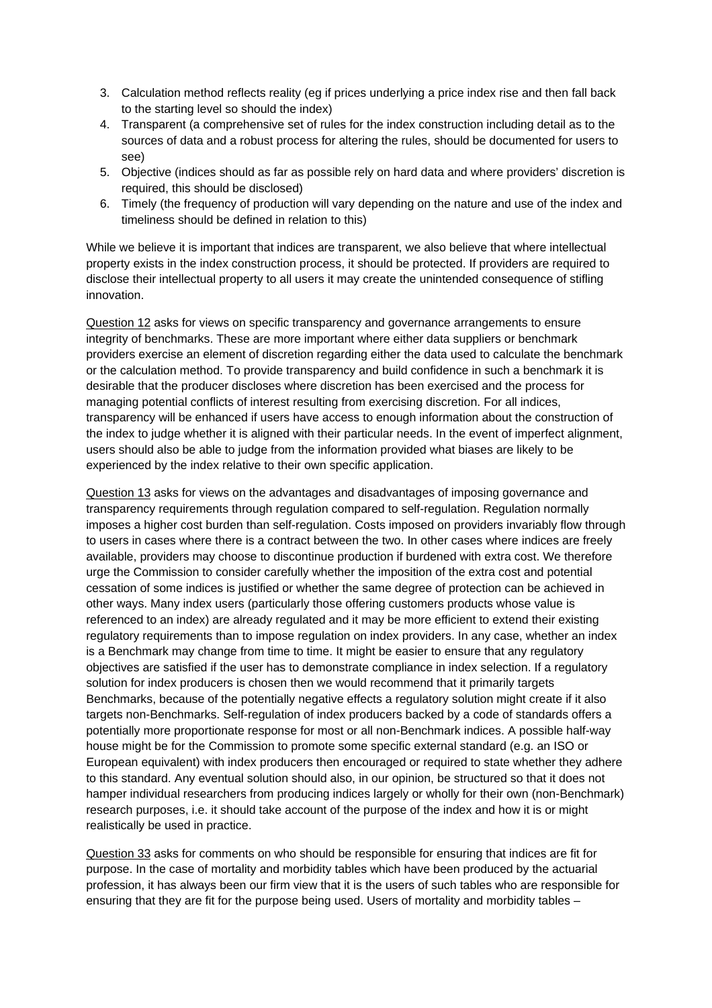- 3. Calculation method reflects reality (eg if prices underlying a price index rise and then fall back to the starting level so should the index)
- 4. Transparent (a comprehensive set of rules for the index construction including detail as to the sources of data and a robust process for altering the rules, should be documented for users to see)
- 5. Objective (indices should as far as possible rely on hard data and where providers' discretion is required, this should be disclosed)
- 6. Timely (the frequency of production will vary depending on the nature and use of the index and timeliness should be defined in relation to this)

While we believe it is important that indices are transparent, we also believe that where intellectual property exists in the index construction process, it should be protected. If providers are required to disclose their intellectual property to all users it may create the unintended consequence of stifling innovation.

Question 12 asks for views on specific transparency and governance arrangements to ensure integrity of benchmarks. These are more important where either data suppliers or benchmark providers exercise an element of discretion regarding either the data used to calculate the benchmark or the calculation method. To provide transparency and build confidence in such a benchmark it is desirable that the producer discloses where discretion has been exercised and the process for managing potential conflicts of interest resulting from exercising discretion. For all indices, transparency will be enhanced if users have access to enough information about the construction of the index to judge whether it is aligned with their particular needs. In the event of imperfect alignment, users should also be able to judge from the information provided what biases are likely to be experienced by the index relative to their own specific application.

Question 13 asks for views on the advantages and disadvantages of imposing governance and transparency requirements through regulation compared to self-regulation. Regulation normally imposes a higher cost burden than self-regulation. Costs imposed on providers invariably flow through to users in cases where there is a contract between the two. In other cases where indices are freely available, providers may choose to discontinue production if burdened with extra cost. We therefore urge the Commission to consider carefully whether the imposition of the extra cost and potential cessation of some indices is justified or whether the same degree of protection can be achieved in other ways. Many index users (particularly those offering customers products whose value is referenced to an index) are already regulated and it may be more efficient to extend their existing regulatory requirements than to impose regulation on index providers. In any case, whether an index is a Benchmark may change from time to time. It might be easier to ensure that any regulatory objectives are satisfied if the user has to demonstrate compliance in index selection. If a regulatory solution for index producers is chosen then we would recommend that it primarily targets Benchmarks, because of the potentially negative effects a regulatory solution might create if it also targets non-Benchmarks. Self-regulation of index producers backed by a code of standards offers a potentially more proportionate response for most or all non-Benchmark indices. A possible half-way house might be for the Commission to promote some specific external standard (e.g. an ISO or European equivalent) with index producers then encouraged or required to state whether they adhere to this standard. Any eventual solution should also, in our opinion, be structured so that it does not hamper individual researchers from producing indices largely or wholly for their own (non-Benchmark) research purposes, i.e. it should take account of the purpose of the index and how it is or might realistically be used in practice.

Question 33 asks for comments on who should be responsible for ensuring that indices are fit for purpose. In the case of mortality and morbidity tables which have been produced by the actuarial profession, it has always been our firm view that it is the users of such tables who are responsible for ensuring that they are fit for the purpose being used. Users of mortality and morbidity tables –